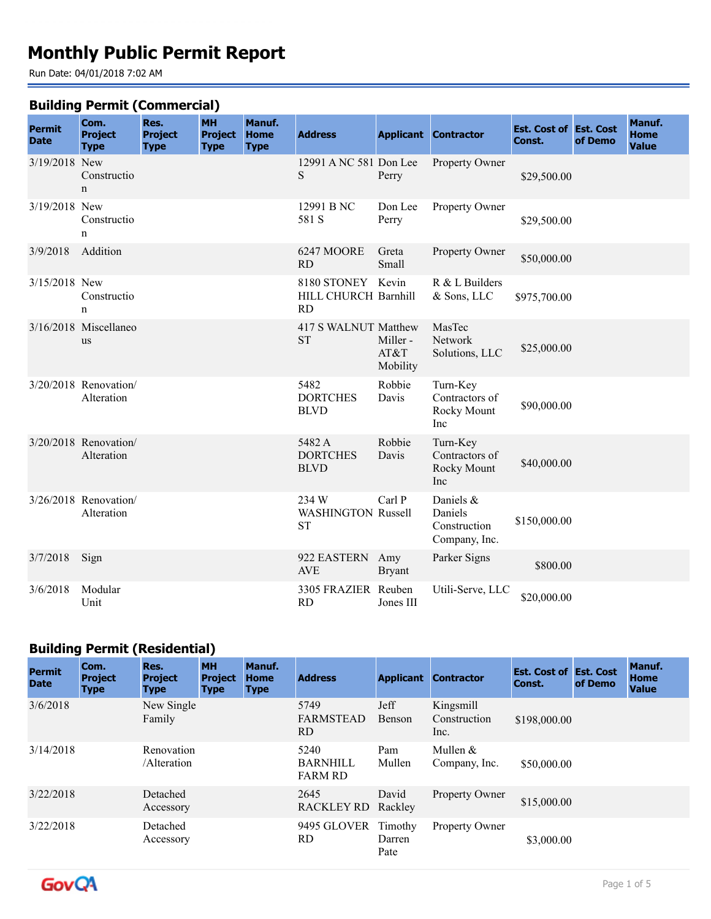# **Monthly Public Permit Report**

Run Date: 04/01/2018 7:02 AM

#### **Building Permit (Commercial)**

| <b>Permit</b><br><b>Date</b> | Com.<br><b>Project</b><br><b>Type</b> | Res.<br><b>Project</b><br><b>Type</b> | <b>MH</b><br><b>Project</b><br><b>Type</b> | Manuf.<br><b>Home</b><br><b>Type</b> | <b>Address</b>                                   |                             | <b>Applicant Contractor</b>                           | <b>Est. Cost of Est. Cost</b><br>Const. | of Demo | Manuf.<br><b>Home</b><br><b>Value</b> |
|------------------------------|---------------------------------------|---------------------------------------|--------------------------------------------|--------------------------------------|--------------------------------------------------|-----------------------------|-------------------------------------------------------|-----------------------------------------|---------|---------------------------------------|
| 3/19/2018 New                | Constructio<br>$\mathbf n$            |                                       |                                            |                                      | 12991 A NC 581 Don Lee<br>S                      | Perry                       | Property Owner                                        | \$29,500.00                             |         |                                       |
| 3/19/2018 New                | Constructio<br>n                      |                                       |                                            |                                      | 12991 B NC<br>581 S                              | Don Lee<br>Perry            | Property Owner                                        | \$29,500.00                             |         |                                       |
| 3/9/2018                     | Addition                              |                                       |                                            |                                      | 6247 MOORE<br>RD                                 | Greta<br>Small              | Property Owner                                        | \$50,000.00                             |         |                                       |
| 3/15/2018 New                | Constructio<br>n                      |                                       |                                            |                                      | 8180 STONEY<br>HILL CHURCH Barnhill<br><b>RD</b> | Kevin                       | R & L Builders<br>& Sons, LLC                         | \$975,700.00                            |         |                                       |
|                              | 3/16/2018 Miscellaneo<br><b>us</b>    |                                       |                                            |                                      | 417 S WALNUT Matthew<br><b>ST</b>                | Miller-<br>AT&T<br>Mobility | MasTec<br>Network<br>Solutions, LLC                   | \$25,000.00                             |         |                                       |
|                              | 3/20/2018 Renovation/<br>Alteration   |                                       |                                            |                                      | 5482<br><b>DORTCHES</b><br><b>BLVD</b>           | Robbie<br>Davis             | Turn-Key<br>Contractors of<br>Rocky Mount<br>Inc      | \$90,000.00                             |         |                                       |
|                              | 3/20/2018 Renovation/<br>Alteration   |                                       |                                            |                                      | 5482 A<br><b>DORTCHES</b><br><b>BLVD</b>         | Robbie<br>Davis             | Turn-Key<br>Contractors of<br>Rocky Mount<br>Inc      | \$40,000.00                             |         |                                       |
|                              | 3/26/2018 Renovation/<br>Alteration   |                                       |                                            |                                      | 234 W<br><b>WASHINGTON Russell</b><br><b>ST</b>  | Carl P                      | Daniels &<br>Daniels<br>Construction<br>Company, Inc. | \$150,000.00                            |         |                                       |
| 3/7/2018                     | Sign                                  |                                       |                                            |                                      | 922 EASTERN Amy<br><b>AVE</b>                    | <b>Bryant</b>               | Parker Signs                                          | \$800.00                                |         |                                       |
| 3/6/2018                     | Modular<br>Unit                       |                                       |                                            |                                      | 3305 FRAZIER Reuben<br><b>RD</b>                 | Jones III                   | Utili-Serve, LLC                                      | \$20,000.00                             |         |                                       |

### **Building Permit (Residential)**

| <b>Permit</b><br><b>Date</b> | Com.<br><b>Project</b><br><b>Type</b> | Res.<br><b>Project</b><br><b>Type</b> | <b>MH</b><br><b>Project</b><br><b>Type</b> | Manuf.<br><b>Home</b><br><b>Type</b> | <b>Address</b>                            | <b>Applicant</b>          | <b>Contractor</b>                 | <b>Est. Cost of Est. Cost</b><br>Const. | of Demo | Manuf.<br><b>Home</b><br><b>Value</b> |
|------------------------------|---------------------------------------|---------------------------------------|--------------------------------------------|--------------------------------------|-------------------------------------------|---------------------------|-----------------------------------|-----------------------------------------|---------|---------------------------------------|
| 3/6/2018                     |                                       | New Single<br>Family                  |                                            |                                      | 5749<br><b>FARMSTEAD</b><br>RD.           | Jeff<br>Benson            | Kingsmill<br>Construction<br>Inc. | \$198,000.00                            |         |                                       |
| 3/14/2018                    |                                       | Renovation<br>/Alteration             |                                            |                                      | 5240<br><b>BARNHILL</b><br><b>FARM RD</b> | Pam<br>Mullen             | Mullen $&$<br>Company, Inc.       | \$50,000.00                             |         |                                       |
| 3/22/2018                    |                                       | Detached<br>Accessory                 |                                            |                                      | 2645<br><b>RACKLEY RD</b>                 | David<br>Rackley          | Property Owner                    | \$15,000.00                             |         |                                       |
| 3/22/2018                    |                                       | Detached<br>Accessory                 |                                            |                                      | 9495 GLOVER<br>RD                         | Timothy<br>Darren<br>Pate | <b>Property Owner</b>             | \$3,000.00                              |         |                                       |

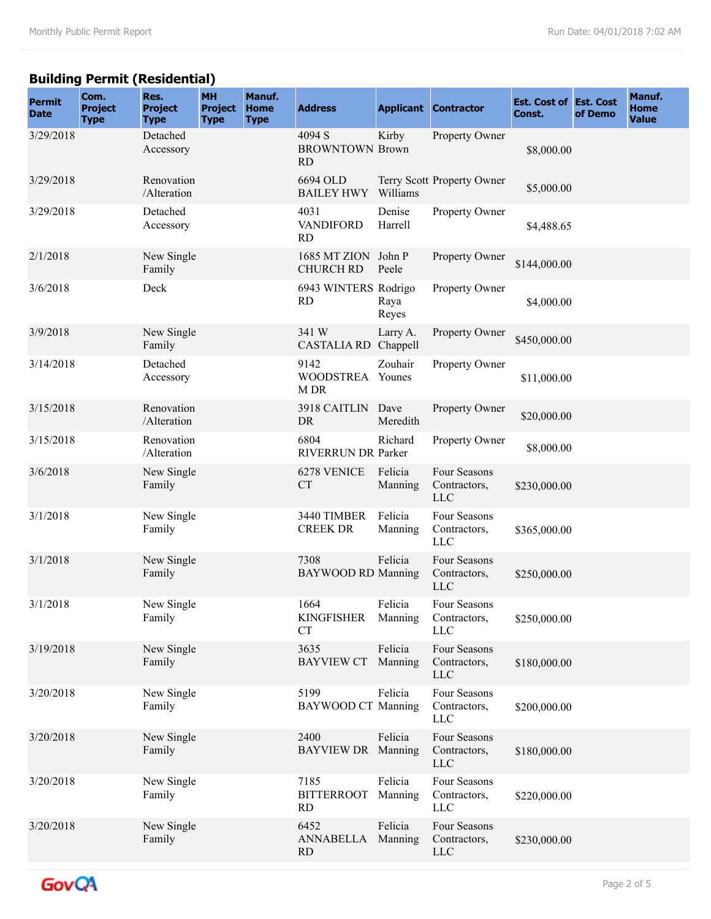### **Building Permit (Residential)**

| <b>Permit</b><br><b>Date</b> | Com.<br><b>Project</b><br><b>Type</b> | Res.<br><b>Project</b><br><b>Type</b> | <b>MH</b><br><b>Project</b><br><b>Type</b> | Manuf.<br><b>Home</b><br><b>Type</b> | <b>Address</b>                                |                    | <b>Applicant Contractor</b>                | <b>Est. Cost of Est. Cost</b><br>Const. | of Demo | Manuf.<br><b>Home</b><br><b>Value</b> |
|------------------------------|---------------------------------------|---------------------------------------|--------------------------------------------|--------------------------------------|-----------------------------------------------|--------------------|--------------------------------------------|-----------------------------------------|---------|---------------------------------------|
| 3/29/2018                    |                                       | Detached<br>Accessory                 |                                            |                                      | 4094 S<br><b>BROWNTOWN Brown</b><br><b>RD</b> | Kirby              | Property Owner                             | \$8,000.00                              |         |                                       |
| 3/29/2018                    |                                       | Renovation<br>/Alteration             |                                            |                                      | 6694 OLD<br><b>BAILEY HWY</b>                 | Williams           | Terry Scott Property Owner                 | \$5,000.00                              |         |                                       |
| 3/29/2018                    |                                       | Detached<br>Accessory                 |                                            |                                      | 4031<br><b>VANDIFORD</b><br><b>RD</b>         | Denise<br>Harrell  | Property Owner                             | \$4,488.65                              |         |                                       |
| 2/1/2018                     |                                       | New Single<br>Family                  |                                            |                                      | 1685 MT ZION John P<br><b>CHURCH RD</b>       | Peele              | Property Owner                             | \$144,000.00                            |         |                                       |
| 3/6/2018                     |                                       | Deck                                  |                                            |                                      | 6943 WINTERS Rodrigo<br><b>RD</b>             | Raya<br>Reyes      | Property Owner                             | \$4,000.00                              |         |                                       |
| 3/9/2018                     |                                       | New Single<br>Family                  |                                            |                                      | 341 W<br>CASTALIA RD Chappell                 | Larry A.           | Property Owner                             | \$450,000.00                            |         |                                       |
| 3/14/2018                    |                                       | Detached<br>Accessory                 |                                            |                                      | 9142<br>WOODSTREA Younes<br>M DR              | Zouhair            | Property Owner                             | \$11,000.00                             |         |                                       |
| 3/15/2018                    |                                       | Renovation<br>/Alteration             |                                            |                                      | 3918 CAITLIN<br>DR                            | Dave<br>Meredith   | Property Owner                             | \$20,000.00                             |         |                                       |
| 3/15/2018                    |                                       | Renovation<br>/Alteration             |                                            |                                      | 6804<br><b>RIVERRUN DR Parker</b>             | Richard            | Property Owner                             | \$8,000.00                              |         |                                       |
| 3/6/2018                     |                                       | New Single<br>Family                  |                                            |                                      | 6278 VENICE<br><b>CT</b>                      | Felicia<br>Manning | Four Seasons<br>Contractors,<br><b>LLC</b> | \$230,000.00                            |         |                                       |
| 3/1/2018                     |                                       | New Single<br>Family                  |                                            |                                      | 3440 TIMBER<br><b>CREEK DR</b>                | Felicia<br>Manning | Four Seasons<br>Contractors,<br><b>LLC</b> | \$365,000.00                            |         |                                       |
| 3/1/2018                     |                                       | New Single<br>Family                  |                                            |                                      | 7308<br><b>BAYWOOD RD Manning</b>             | Felicia            | Four Seasons<br>Contractors,<br><b>LLC</b> | \$250,000.00                            |         |                                       |
| 3/1/2018                     |                                       | New Single<br>Family                  |                                            |                                      | 1664<br><b>KINGFISHER</b><br><b>CT</b>        | Felicia<br>Manning | Four Seasons<br>Contractors,<br><b>LLC</b> | \$250,000.00                            |         |                                       |
| 3/19/2018                    |                                       | New Single<br>Family                  |                                            |                                      | 3635<br><b>BAYVIEW CT</b>                     | Felicia<br>Manning | Four Seasons<br>Contractors,<br><b>LLC</b> | \$180,000.00                            |         |                                       |
| 3/20/2018                    |                                       | New Single<br>Family                  |                                            |                                      | 5199<br><b>BAYWOOD CT Manning</b>             | Felicia            | Four Seasons<br>Contractors,<br><b>LLC</b> | \$200,000.00                            |         |                                       |
| 3/20/2018                    |                                       | New Single<br>Family                  |                                            |                                      | 2400<br>BAYVIEW DR Manning                    | Felicia            | Four Seasons<br>Contractors,<br><b>LLC</b> | \$180,000.00                            |         |                                       |
| 3/20/2018                    |                                       | New Single<br>Family                  |                                            |                                      | 7185<br><b>BITTERROOT</b><br><b>RD</b>        | Felicia<br>Manning | Four Seasons<br>Contractors,<br><b>LLC</b> | \$220,000.00                            |         |                                       |
| 3/20/2018                    |                                       | New Single<br>Family                  |                                            |                                      | 6452<br>ANNABELLA<br><b>RD</b>                | Felicia<br>Manning | Four Seasons<br>Contractors,<br>LLC        | \$230,000.00                            |         |                                       |

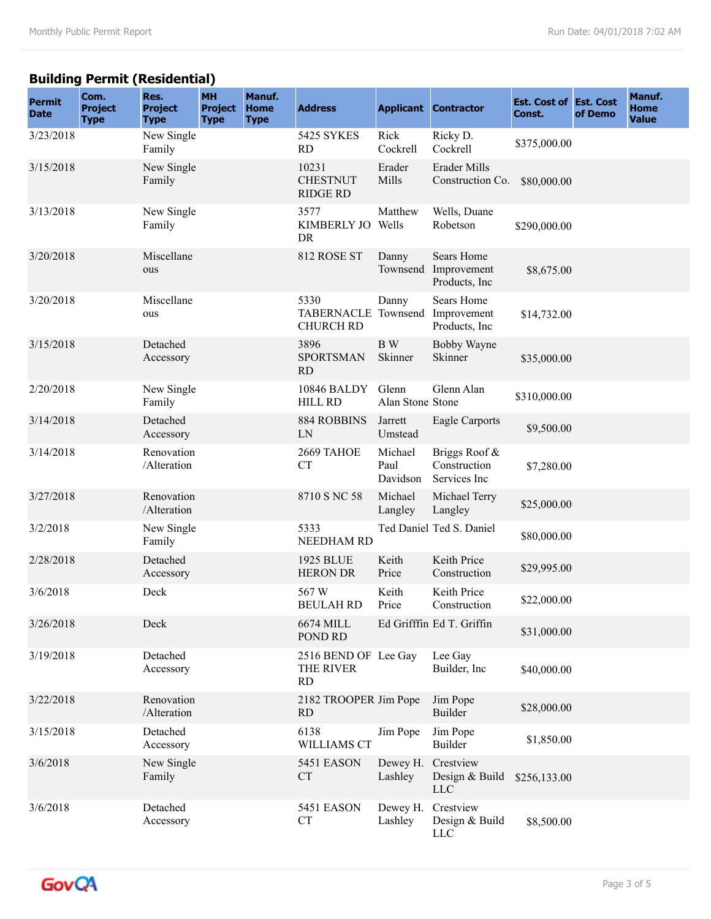# **Building Permit (Residential)**

| <b>Permit</b><br><b>Date</b> | Com.<br><b>Project</b><br><b>Type</b> | Res.<br><b>Project</b><br><b>Type</b> | <b>MH</b><br><b>Project</b><br><b>Type</b> | Manuf.<br><b>Home</b><br><b>Type</b> | <b>Address</b>                                  |                             | <b>Applicant Contractor</b>                   | <b>Est. Cost of Est. Cost</b><br>Const. | of Demo | Manuf.<br><b>Home</b><br><b>Value</b> |
|------------------------------|---------------------------------------|---------------------------------------|--------------------------------------------|--------------------------------------|-------------------------------------------------|-----------------------------|-----------------------------------------------|-----------------------------------------|---------|---------------------------------------|
| 3/23/2018                    |                                       | New Single<br>Family                  |                                            |                                      | <b>5425 SYKES</b><br><b>RD</b>                  | Rick<br>Cockrell            | Ricky D.<br>Cockrell                          | \$375,000.00                            |         |                                       |
| 3/15/2018                    |                                       | New Single<br>Family                  |                                            |                                      | 10231<br><b>CHESTNUT</b><br><b>RIDGE RD</b>     | Erader<br>Mills             | <b>Erader Mills</b><br>Construction Co.       | \$80,000.00                             |         |                                       |
| 3/13/2018                    |                                       | New Single<br>Family                  |                                            |                                      | 3577<br>KIMBERLY JO Wells<br>DR                 | Matthew                     | Wells, Duane<br>Robetson                      | \$290,000.00                            |         |                                       |
| 3/20/2018                    |                                       | Miscellane<br>ous                     |                                            |                                      | 812 ROSE ST                                     | Danny<br>Townsend           | Sears Home<br>Improvement<br>Products, Inc.   | \$8,675.00                              |         |                                       |
| 3/20/2018                    |                                       | Miscellane<br>ous                     |                                            |                                      | 5330<br>TABERNACLE Townsend<br><b>CHURCH RD</b> | Danny                       | Sears Home<br>Improvement<br>Products, Inc    | \$14,732.00                             |         |                                       |
| 3/15/2018                    |                                       | Detached<br>Accessory                 |                                            |                                      | 3896<br><b>SPORTSMAN</b><br>RD                  | B W<br>Skinner              | Bobby Wayne<br>Skinner                        | \$35,000.00                             |         |                                       |
| 2/20/2018                    |                                       | New Single<br>Family                  |                                            |                                      | 10846 BALDY<br><b>HILL RD</b>                   | Glenn<br>Alan Stone Stone   | Glenn Alan                                    | \$310,000.00                            |         |                                       |
| 3/14/2018                    |                                       | Detached<br>Accessory                 |                                            |                                      | 884 ROBBINS<br>LN                               | Jarrett<br>Umstead          | Eagle Carports                                | \$9,500.00                              |         |                                       |
| 3/14/2018                    |                                       | Renovation<br>/Alteration             |                                            |                                      | 2669 TAHOE<br><b>CT</b>                         | Michael<br>Paul<br>Davidson | Briggs Roof &<br>Construction<br>Services Inc | \$7,280.00                              |         |                                       |
| 3/27/2018                    |                                       | Renovation<br>/Alteration             |                                            |                                      | 8710 S NC 58                                    | Michael<br>Langley          | Michael Terry<br>Langley                      | \$25,000.00                             |         |                                       |
| 3/2/2018                     |                                       | New Single<br>Family                  |                                            |                                      | 5333<br><b>NEEDHAM RD</b>                       |                             | Ted Daniel Ted S. Daniel                      | \$80,000.00                             |         |                                       |
| 2/28/2018                    |                                       | Detached<br>Accessory                 |                                            |                                      | <b>1925 BLUE</b><br><b>HERON DR</b>             | Keith<br>Price              | Keith Price<br>Construction                   | \$29,995.00                             |         |                                       |
| 3/6/2018                     |                                       | Deck                                  |                                            |                                      | 567W<br>BEULAH RD                               | Keith<br>Price              | Keith Price<br>Construction                   | \$22,000.00                             |         |                                       |
| 3/26/2018                    |                                       | Deck                                  |                                            |                                      | 6674 MILL<br>POND RD                            |                             | Ed Grifffin Ed T. Griffin                     | \$31,000.00                             |         |                                       |
| 3/19/2018                    |                                       | Detached<br>Accessory                 |                                            |                                      | 2516 BEND OF Lee Gay<br>THE RIVER<br><b>RD</b>  |                             | Lee Gay<br>Builder, Inc                       | \$40,000.00                             |         |                                       |
| 3/22/2018                    |                                       | Renovation<br>/Alteration             |                                            |                                      | 2182 TROOPER Jim Pope<br><b>RD</b>              |                             | Jim Pope<br>Builder                           | \$28,000.00                             |         |                                       |
| 3/15/2018                    |                                       | Detached<br>Accessory                 |                                            |                                      | 6138<br><b>WILLIAMS CT</b>                      | Jim Pope                    | Jim Pope<br><b>Builder</b>                    | \$1,850.00                              |         |                                       |
| 3/6/2018                     |                                       | New Single<br>Family                  |                                            |                                      | 5451 EASON<br><b>CT</b>                         | Dewey H.<br>Lashley         | Crestview<br>Design & Build<br><b>LLC</b>     | \$256,133.00                            |         |                                       |
| 3/6/2018                     |                                       | Detached<br>Accessory                 |                                            |                                      | 5451 EASON<br><b>CT</b>                         | Dewey H.<br>Lashley         | Crestview<br>Design & Build<br><b>LLC</b>     | \$8,500.00                              |         |                                       |

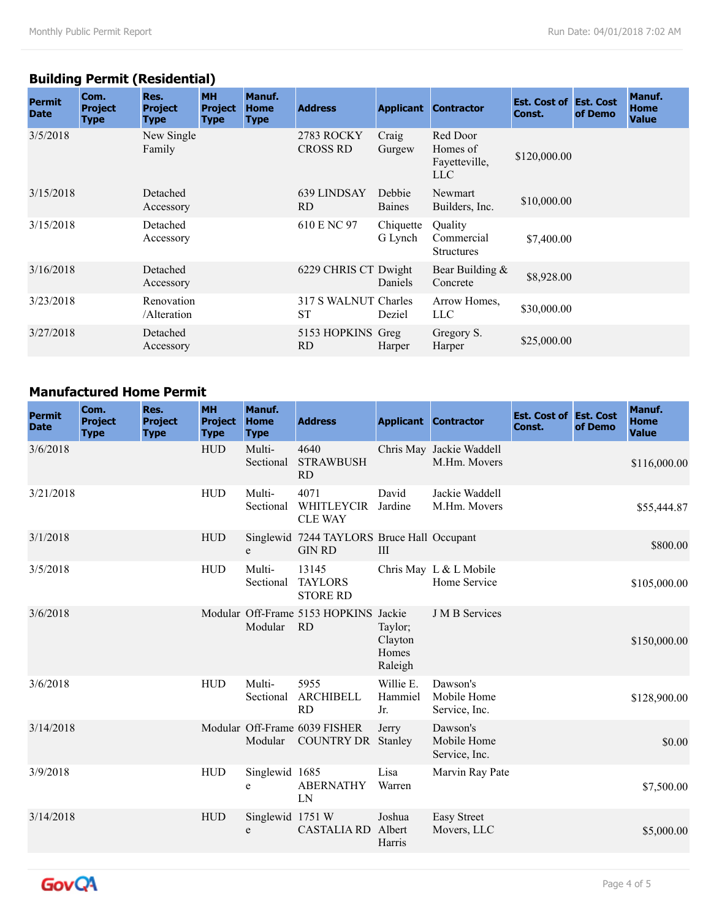# **Building Permit (Residential)**

| <b>Permit</b><br><b>Date</b> | Com.<br><b>Project</b><br><b>Type</b> | Res.<br><b>Project</b><br><b>Type</b> | <b>MH</b><br><b>Project</b><br><b>Type</b> | Manuf.<br><b>Home</b><br><b>Type</b> | <b>Address</b>                    | <b>Applicant</b>     | <b>Contractor</b>                            | <b>Est. Cost of Est. Cost</b><br>Const. | of Demo | Manuf.<br><b>Home</b><br><b>Value</b> |
|------------------------------|---------------------------------------|---------------------------------------|--------------------------------------------|--------------------------------------|-----------------------------------|----------------------|----------------------------------------------|-----------------------------------------|---------|---------------------------------------|
| 3/5/2018                     |                                       | New Single<br>Family                  |                                            |                                      | 2783 ROCKY<br><b>CROSS RD</b>     | Craig<br>Gurgew      | Red Door<br>Homes of<br>Fayetteville,<br>LLC | \$120,000.00                            |         |                                       |
| 3/15/2018                    |                                       | Detached<br>Accessory                 |                                            |                                      | 639 LINDSAY<br>RD.                | Debbie<br>Baines     | Newmart<br>Builders, Inc.                    | \$10,000.00                             |         |                                       |
| 3/15/2018                    |                                       | Detached<br>Accessory                 |                                            |                                      | 610 E NC 97                       | Chiquette<br>G Lynch | Quality<br>Commercial<br><b>Structures</b>   | \$7,400.00                              |         |                                       |
| 3/16/2018                    |                                       | Detached<br>Accessory                 |                                            |                                      | 6229 CHRIS CT Dwight              | Daniels              | Bear Building &<br>Concrete                  | \$8,928.00                              |         |                                       |
| 3/23/2018                    |                                       | Renovation<br>/Alteration             |                                            |                                      | 317 S WALNUT Charles<br><b>ST</b> | Deziel               | Arrow Homes,<br><b>LLC</b>                   | \$30,000.00                             |         |                                       |
| 3/27/2018                    |                                       | Detached<br>Accessory                 |                                            |                                      | 5153 HOPKINS Greg<br><b>RD</b>    | Harper               | Gregory S.<br>Harper                         | \$25,000.00                             |         |                                       |

### **Manufactured Home Permit**

| <b>Permit</b><br><b>Date</b> | Com.<br><b>Project</b><br><b>Type</b> | Res.<br><b>Project</b><br><b>Type</b> | <b>MH</b><br><b>Project</b><br><b>Type</b> | Manuf.<br><b>Home</b><br><b>Type</b> | <b>Address</b>                                              |                                        | <b>Applicant Contractor</b>              | <b>Est. Cost of Est. Cost</b><br>Const. | of Demo | Manuf.<br><b>Home</b><br><b>Value</b> |
|------------------------------|---------------------------------------|---------------------------------------|--------------------------------------------|--------------------------------------|-------------------------------------------------------------|----------------------------------------|------------------------------------------|-----------------------------------------|---------|---------------------------------------|
| 3/6/2018                     |                                       |                                       | <b>HUD</b>                                 | Multi-<br>Sectional                  | 4640<br><b>STRAWBUSH</b><br><b>RD</b>                       |                                        | Chris May Jackie Waddell<br>M.Hm. Movers |                                         |         | \$116,000.00                          |
| 3/21/2018                    |                                       |                                       | <b>HUD</b>                                 | Multi-<br>Sectional                  | 4071<br><b>WHITLEYCIR</b><br><b>CLE WAY</b>                 | David<br>Jardine                       | Jackie Waddell<br>M.Hm. Movers           |                                         |         | \$55,444.87                           |
| 3/1/2018                     |                                       |                                       | <b>HUD</b>                                 | e                                    | Singlewid 7244 TAYLORS Bruce Hall Occupant<br><b>GIN RD</b> | Ш                                      |                                          |                                         |         | \$800.00                              |
| 3/5/2018                     |                                       |                                       | <b>HUD</b>                                 | Multi-<br>Sectional                  | 13145<br><b>TAYLORS</b><br><b>STORE RD</b>                  |                                        | Chris May L & L Mobile<br>Home Service   |                                         |         | \$105,000.00                          |
| 3/6/2018                     |                                       |                                       |                                            | Modular                              | Modular Off-Frame 5153 HOPKINS Jackie<br><b>RD</b>          | Taylor;<br>Clayton<br>Homes<br>Raleigh | <b>J</b> M <sub>B</sub> Services         |                                         |         | \$150,000.00                          |
| 3/6/2018                     |                                       |                                       | <b>HUD</b>                                 | Multi-<br>Sectional                  | 5955<br><b>ARCHIBELL</b><br><b>RD</b>                       | Willie E.<br>Hammiel<br>Jr.            | Dawson's<br>Mobile Home<br>Service, Inc. |                                         |         | \$128,900.00                          |
| 3/14/2018                    |                                       |                                       |                                            | Modular                              | Modular Off-Frame 6039 FISHER<br>COUNTRY DR                 | Jerry<br>Stanley                       | Dawson's<br>Mobile Home<br>Service, Inc. |                                         |         | \$0.00                                |
| 3/9/2018                     |                                       |                                       | <b>HUD</b>                                 | Singlewid 1685<br>e                  | <b>ABERNATHY</b><br>LN                                      | Lisa<br>Warren                         | Marvin Ray Pate                          |                                         |         | \$7,500.00                            |
| 3/14/2018                    |                                       |                                       | <b>HUD</b>                                 | Singlewid 1751 W<br>e                | CASTALIA RD Albert                                          | Joshua<br>Harris                       | <b>Easy Street</b><br>Movers, LLC        |                                         |         | \$5,000.00                            |